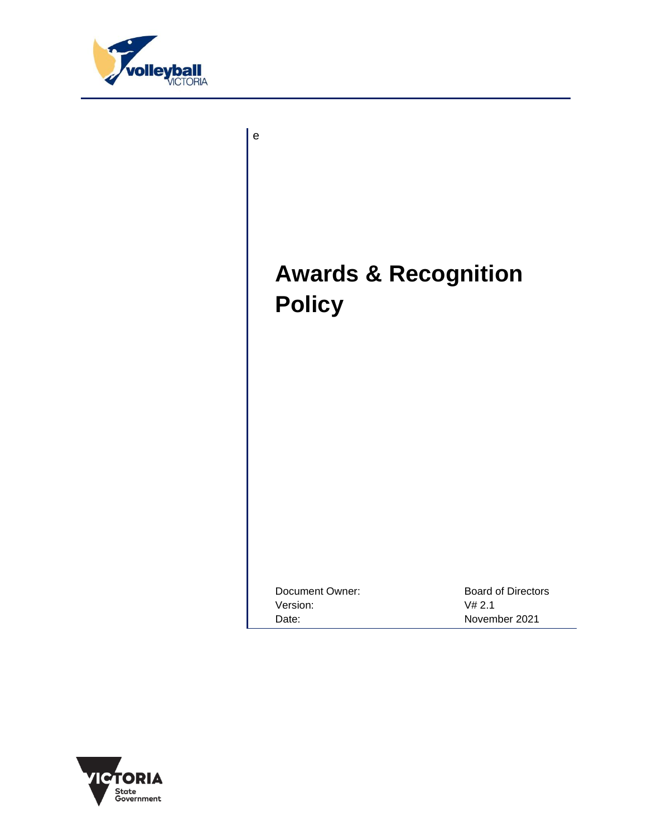

e

# **Awards & Recognition Policy**

Document Owner: Board of Directors Version: V# 2.1 Date: November 2021

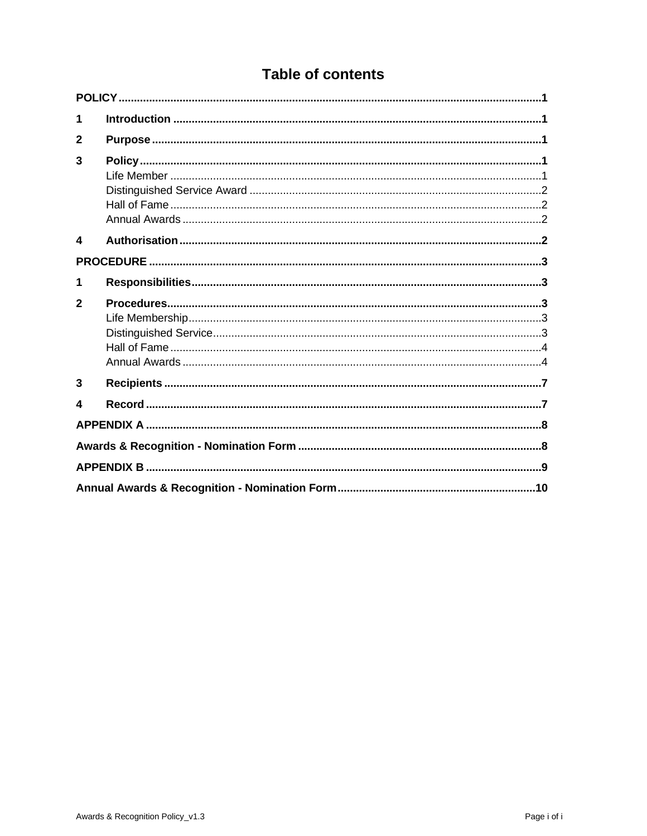# **Table of contents**

| 1            |  |  |  |  |
|--------------|--|--|--|--|
| $\mathbf{2}$ |  |  |  |  |
| 3            |  |  |  |  |
| 4            |  |  |  |  |
|              |  |  |  |  |
| 1            |  |  |  |  |
| $\mathbf{2}$ |  |  |  |  |
|              |  |  |  |  |
|              |  |  |  |  |
|              |  |  |  |  |
|              |  |  |  |  |
| 3            |  |  |  |  |
| 4            |  |  |  |  |
|              |  |  |  |  |
|              |  |  |  |  |
|              |  |  |  |  |
|              |  |  |  |  |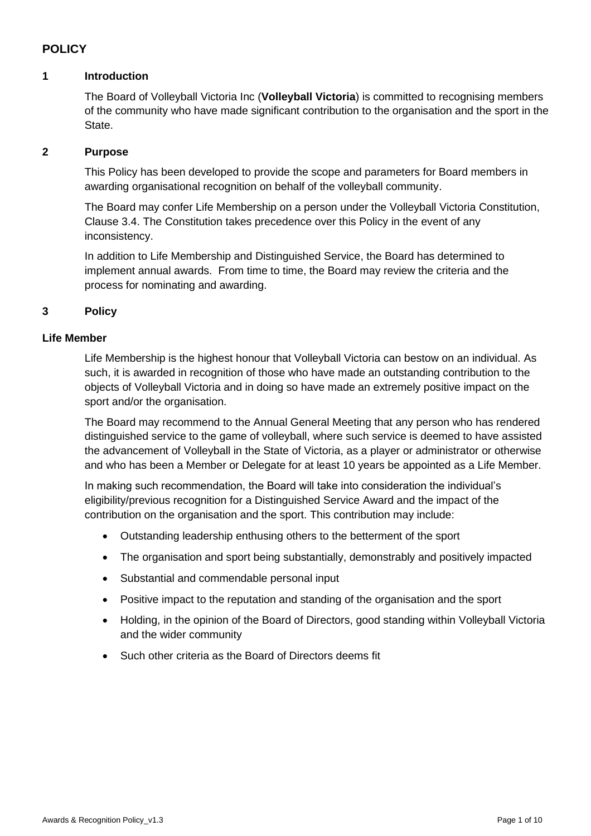# <span id="page-2-1"></span><span id="page-2-0"></span>**POLICY**

#### <span id="page-2-2"></span>**1 Introduction**

The Board of Volleyball Victoria Inc (**Volleyball Victoria**) is committed to recognising members of the community who have made significant contribution to the organisation and the sport in the State.

#### **2 Purpose**

This Policy has been developed to provide the scope and parameters for Board members in awarding organisational recognition on behalf of the volleyball community.

The Board may confer Life Membership on a person under the Volleyball Victoria Constitution, Clause 3.4. The Constitution takes precedence over this Policy in the event of any inconsistency.

<span id="page-2-3"></span>In addition to Life Membership and Distinguished Service, the Board has determined to implement annual awards. From time to time, the Board may review the criteria and the process for nominating and awarding.

#### <span id="page-2-4"></span>**3 Policy**

#### **Life Member**

Life Membership is the highest honour that Volleyball Victoria can bestow on an individual. As such, it is awarded in recognition of those who have made an outstanding contribution to the objects of Volleyball Victoria and in doing so have made an extremely positive impact on the sport and/or the organisation.

The Board may recommend to the Annual General Meeting that any person who has rendered distinguished service to the game of volleyball, where such service is deemed to have assisted the advancement of Volleyball in the State of Victoria, as a player or administrator or otherwise and who has been a Member or Delegate for at least 10 years be appointed as a Life Member.

In making such recommendation, the Board will take into consideration the individual's eligibility/previous recognition for a Distinguished Service Award and the impact of the contribution on the organisation and the sport. This contribution may include:

- Outstanding leadership enthusing others to the betterment of the sport
- The organisation and sport being substantially, demonstrably and positively impacted
- Substantial and commendable personal input
- Positive impact to the reputation and standing of the organisation and the sport
- Holding, in the opinion of the Board of Directors, good standing within Volleyball Victoria and the wider community
- Such other criteria as the Board of Directors deems fit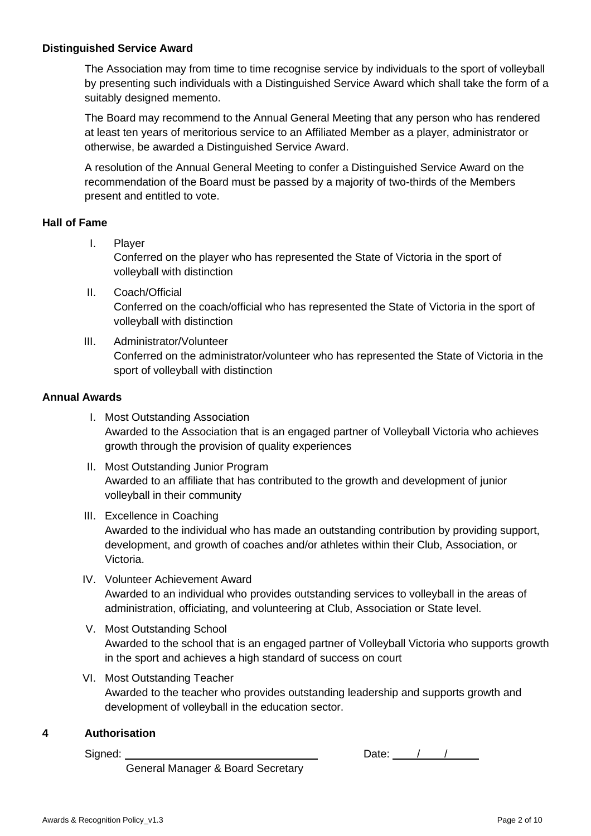#### <span id="page-3-0"></span>**Distinguished Service Award**

The Association may from time to time recognise service by individuals to the sport of volleyball by presenting such individuals with a Distinguished Service Award which shall take the form of a suitably designed memento.

The Board may recommend to the Annual General Meeting that any person who has rendered at least ten years of meritorious service to an Affiliated Member as a player, administrator or otherwise, be awarded a Distinguished Service Award.

<span id="page-3-1"></span>A resolution of the Annual General Meeting to confer a Distinguished Service Award on the recommendation of the Board must be passed by a majority of two-thirds of the Members present and entitled to vote.

#### **Hall of Fame**

- I. Player Conferred on the player who has represented the State of Victoria in the sport of volleyball with distinction
- II. Coach/Official Conferred on the coach/official who has represented the State of Victoria in the sport of volleyball with distinction
- <span id="page-3-2"></span>III. Administrator/Volunteer Conferred on the administrator/volunteer who has represented the State of Victoria in the sport of volleyball with distinction

#### **Annual Awards**

- I. Most Outstanding Association Awarded to the Association that is an engaged partner of Volleyball Victoria who achieves growth through the provision of quality experiences
- II. Most Outstanding Junior Program Awarded to an affiliate that has contributed to the growth and development of junior volleyball in their community

#### III. Excellence in Coaching

Awarded to the individual who has made an outstanding contribution by providing support, development, and growth of coaches and/or athletes within their Club, Association, or Victoria.

- IV. Volunteer Achievement Award Awarded to an individual who provides outstanding services to volleyball in the areas of administration, officiating, and volunteering at Club, Association or State level.
- V. Most Outstanding School Awarded to the school that is an engaged partner of Volleyball Victoria who supports growth in the sport and achieves a high standard of success on court
- <span id="page-3-3"></span>VI. Most Outstanding Teacher Awarded to the teacher who provides outstanding leadership and supports growth and development of volleyball in the education sector.

#### **4 Authorisation**

Signed:

General Manager & Board Secretary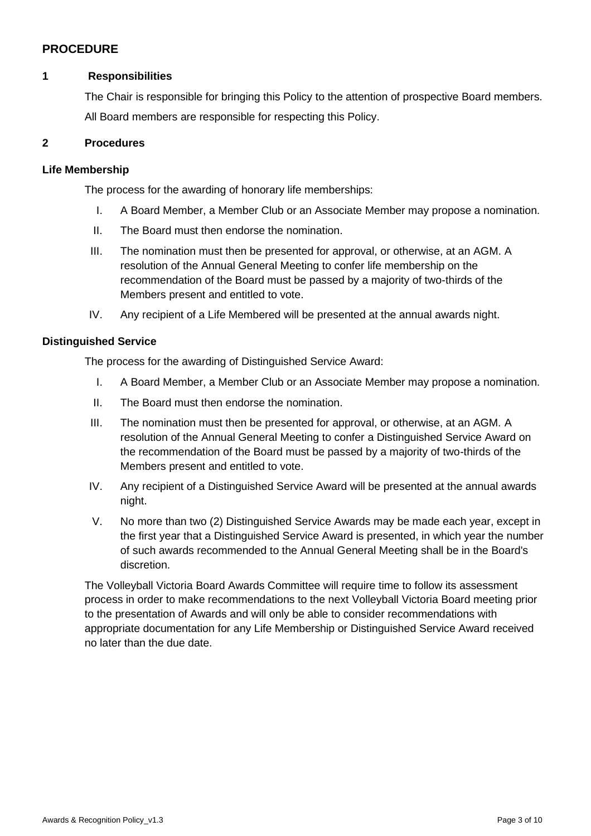## <span id="page-4-1"></span><span id="page-4-0"></span>**PROCEDURE**

#### <span id="page-4-2"></span>**1 Responsibilities**

The Chair is responsible for bringing this Policy to the attention of prospective Board members. All Board members are responsible for respecting this Policy.

#### <span id="page-4-3"></span>**2 Procedures**

#### **Life Membership**

The process for the awarding of honorary life memberships:

- I. A Board Member, a Member Club or an Associate Member may propose a nomination.
- II. The Board must then endorse the nomination.
- III. The nomination must then be presented for approval, or otherwise, at an AGM. A resolution of the Annual General Meeting to confer life membership on the recommendation of the Board must be passed by a majority of two-thirds of the Members present and entitled to vote.
- IV. Any recipient of a Life Membered will be presented at the annual awards night.

#### <span id="page-4-4"></span>**Distinguished Service**

The process for the awarding of Distinguished Service Award:

- I. A Board Member, a Member Club or an Associate Member may propose a nomination.
- II. The Board must then endorse the nomination.
- III. The nomination must then be presented for approval, or otherwise, at an AGM. A resolution of the Annual General Meeting to confer a Distinguished Service Award on the recommendation of the Board must be passed by a majority of two-thirds of the Members present and entitled to vote.
- IV. Any recipient of a Distinguished Service Award will be presented at the annual awards night.
- V. No more than two (2) Distinguished Service Awards may be made each year, except in the first year that a Distinguished Service Award is presented, in which year the number of such awards recommended to the Annual General Meeting shall be in the Board's discretion.

The Volleyball Victoria Board Awards Committee will require time to follow its assessment process in order to make recommendations to the next Volleyball Victoria Board meeting prior to the presentation of Awards and will only be able to consider recommendations with appropriate documentation for any Life Membership or Distinguished Service Award received no later than the due date.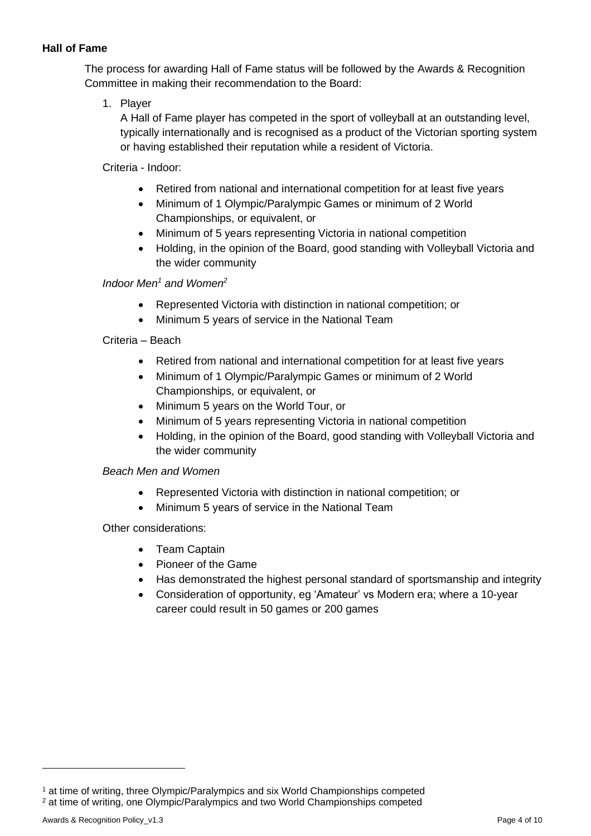## <span id="page-5-1"></span><span id="page-5-0"></span>**Hall of Fame**

The process for awarding Hall of Fame status will be followed by the Awards & Recognition Committee in making their recommendation to the Board:

1. Player

A Hall of Fame player has competed in the sport of volleyball at an outstanding level, typically internationally and is recognised as a product of the Victorian sporting system or having established their reputation while a resident of Victoria.

Criteria - Indoor:

- Retired from national and international competition for at least five years
- Minimum of 1 Olympic/Paralympic Games or minimum of 2 World Championships, or equivalent, or
- Minimum of 5 years representing Victoria in national competition
- Holding, in the opinion of the Board, good standing with Volleyball Victoria and the wider community

*Indoor Men<sup>1</sup> and Women<sup>2</sup>*

- Represented Victoria with distinction in national competition; or
- Minimum 5 years of service in the National Team

Criteria – Beach

- Retired from national and international competition for at least five years
- Minimum of 1 Olympic/Paralympic Games or minimum of 2 World Championships, or equivalent, or
- Minimum 5 years on the World Tour, or
- Minimum of 5 years representing Victoria in national competition
- Holding, in the opinion of the Board, good standing with Volleyball Victoria and the wider community

# *Beach Men and Women*

- Represented Victoria with distinction in national competition; or
- Minimum 5 years of service in the National Team

Other considerations:

- Team Captain
- Pioneer of the Game
- Has demonstrated the highest personal standard of sportsmanship and integrity
- Consideration of opportunity, eg 'Amateur' vs Modern era; where a 10-year career could result in 50 games or 200 games

<sup>1</sup> at time of writing, three Olympic/Paralympics and six World Championships competed

<sup>&</sup>lt;sup>2</sup> at time of writing, one Olympic/Paralympics and two World Championships competed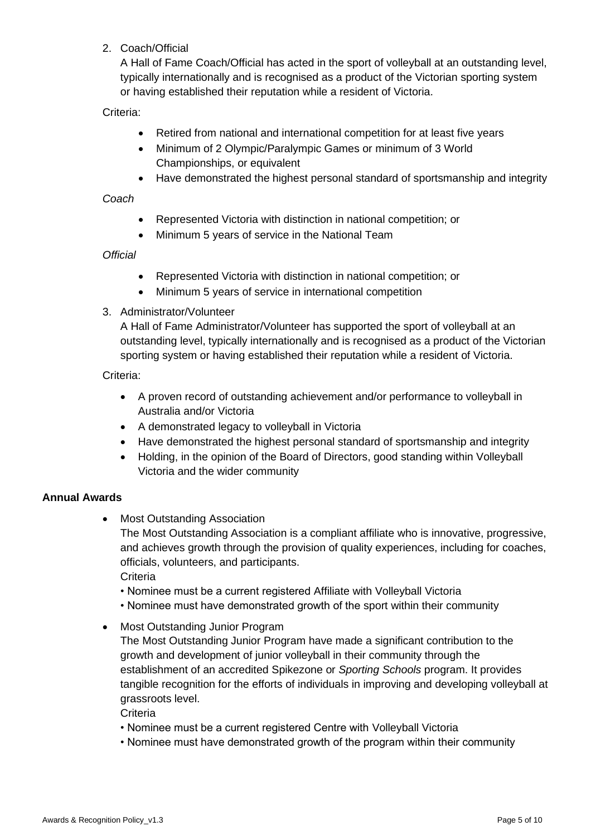2. Coach/Official

A Hall of Fame Coach/Official has acted in the sport of volleyball at an outstanding level, typically internationally and is recognised as a product of the Victorian sporting system or having established their reputation while a resident of Victoria.

Criteria:

- Retired from national and international competition for at least five years
- Minimum of 2 Olympic/Paralympic Games or minimum of 3 World Championships, or equivalent
- Have demonstrated the highest personal standard of sportsmanship and integrity

#### *Coach*

- Represented Victoria with distinction in national competition; or
- Minimum 5 years of service in the National Team

#### *Official*

- Represented Victoria with distinction in national competition; or
- Minimum 5 years of service in international competition

#### 3. Administrator/Volunteer

A Hall of Fame Administrator/Volunteer has supported the sport of volleyball at an outstanding level, typically internationally and is recognised as a product of the Victorian sporting system or having established their reputation while a resident of Victoria.

#### Criteria:

- A proven record of outstanding achievement and/or performance to volleyball in Australia and/or Victoria
- A demonstrated legacy to volleyball in Victoria
- Have demonstrated the highest personal standard of sportsmanship and integrity
- Holding, in the opinion of the Board of Directors, good standing within Volleyball Victoria and the wider community

#### **Annual Awards**

**Most Outstanding Association** 

The Most Outstanding Association is a compliant affiliate who is innovative, progressive, and achieves growth through the provision of quality experiences, including for coaches, officials, volunteers, and participants.

**Criteria** 

- Nominee must be a current registered Affiliate with Volleyball Victoria
- Nominee must have demonstrated growth of the sport within their community
- Most Outstanding Junior Program

The Most Outstanding Junior Program have made a significant contribution to the growth and development of junior volleyball in their community through the establishment of an accredited Spikezone or *Sporting Schools* program. It provides tangible recognition for the efforts of individuals in improving and developing volleyball at grassroots level.

**Criteria** 

- Nominee must be a current registered Centre with Volleyball Victoria
- Nominee must have demonstrated growth of the program within their community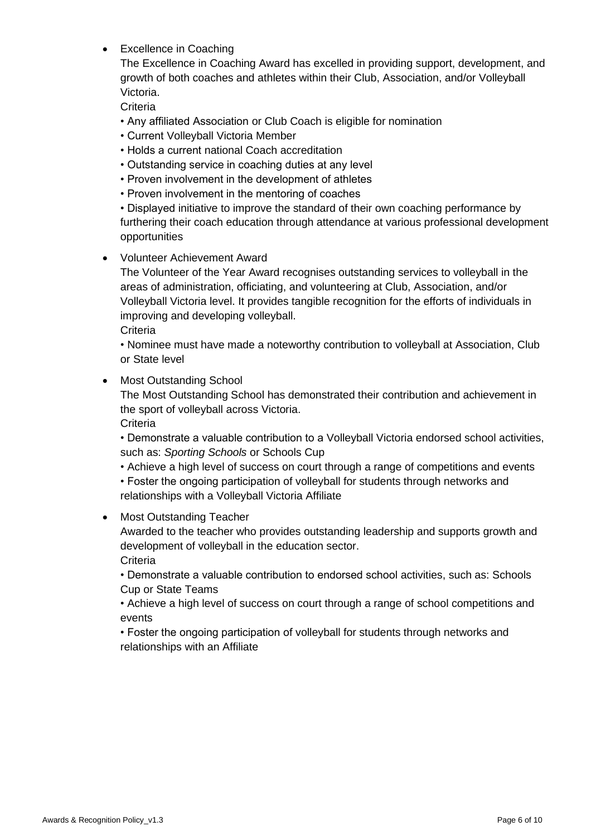**Excellence in Coaching** 

The Excellence in Coaching Award has excelled in providing support, development, and growth of both coaches and athletes within their Club, Association, and/or Volleyball Victoria.

**Criteria** 

- Any affiliated Association or Club Coach is eligible for nomination
- Current Volleyball Victoria Member
- Holds a current national Coach accreditation
- Outstanding service in coaching duties at any level
- Proven involvement in the development of athletes
- Proven involvement in the mentoring of coaches

• Displayed initiative to improve the standard of their own coaching performance by furthering their coach education through attendance at various professional development opportunities

• Volunteer Achievement Award

The Volunteer of the Year Award recognises outstanding services to volleyball in the areas of administration, officiating, and volunteering at Club, Association, and/or Volleyball Victoria level. It provides tangible recognition for the efforts of individuals in improving and developing volleyball.

**Criteria** 

• Nominee must have made a noteworthy contribution to volleyball at Association, Club or State level

• Most Outstanding School

The Most Outstanding School has demonstrated their contribution and achievement in the sport of volleyball across Victoria.

**Criteria** 

• Demonstrate a valuable contribution to a Volleyball Victoria endorsed school activities, such as: *Sporting Schools* or Schools Cup

• Achieve a high level of success on court through a range of competitions and events

• Foster the ongoing participation of volleyball for students through networks and relationships with a Volleyball Victoria Affiliate

#### • Most Outstanding Teacher

Awarded to the teacher who provides outstanding leadership and supports growth and development of volleyball in the education sector. **Criteria** 

• Demonstrate a valuable contribution to endorsed school activities, such as: Schools Cup or State Teams

<span id="page-7-0"></span>• Achieve a high level of success on court through a range of school competitions and events

• Foster the ongoing participation of volleyball for students through networks and relationships with an Affiliate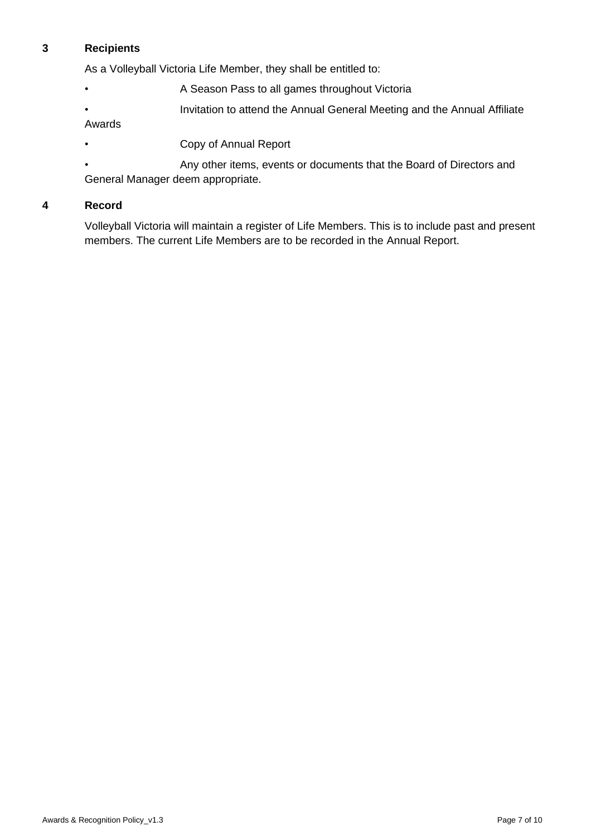#### **3 Recipients**

As a Volleyball Victoria Life Member, they shall be entitled to:

- **A Season Pass to all games throughout Victoria**
- Invitation to attend the Annual General Meeting and the Annual Affiliate

Awards

<span id="page-8-0"></span>• Copy of Annual Report

• Any other items, events or documents that the Board of Directors and General Manager deem appropriate.

#### **4 Record**

Volleyball Victoria will maintain a register of Life Members. This is to include past and present members. The current Life Members are to be recorded in the Annual Report.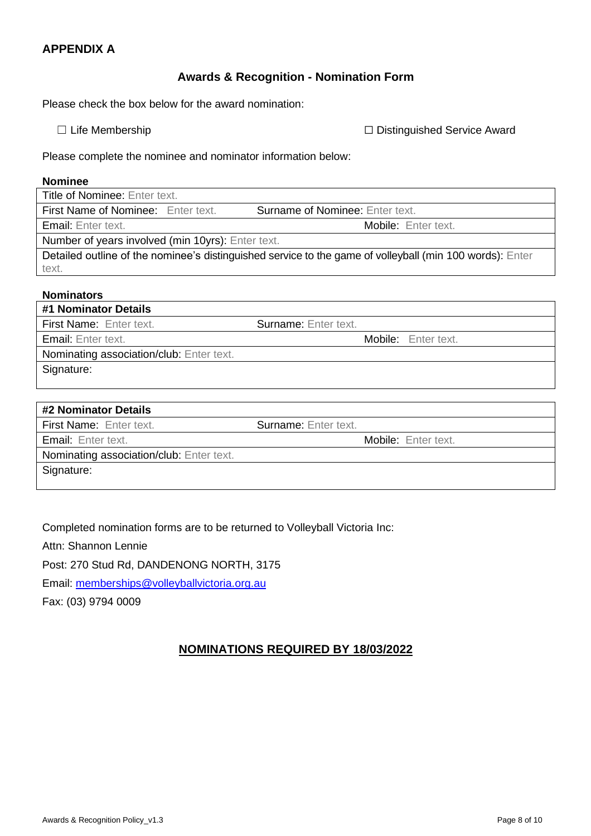## **Awards & Recognition - Nomination Form**

<span id="page-9-1"></span><span id="page-9-0"></span>Please check the box below for the award nomination:

☐ Life Membership ☐ Distinguished Service Award

Please complete the nominee and nominator information below:

#### **Nominee**

| <b>Title of Nominee: Enter text.</b>                                                                     |                                        |  |  |  |  |
|----------------------------------------------------------------------------------------------------------|----------------------------------------|--|--|--|--|
| First Name of Nominee: Enter text.                                                                       | <b>Surname of Nominee: Enter text.</b> |  |  |  |  |
| <b>Email:</b> Enter text.                                                                                | Mobile: Enter text.                    |  |  |  |  |
| Number of years involved (min 10yrs): Enter text.                                                        |                                        |  |  |  |  |
| Detailed outline of the nominee's distinguished service to the game of volleyball (min 100 words): Enter |                                        |  |  |  |  |
| text.                                                                                                    |                                        |  |  |  |  |

# **Nominators #1 Nominator Details** First Name: Enter text. Surname: Enter text. Email: Enter text. **Exercise 2008** Controllering Mobile: Enter text. Nominating association/club: Enter text. Signature: **#2 Nominator Details** First Name: Enter text. Surname: Enter text.

|--|

Mobile: Enter text.

Nominating association/club: Enter text.

Signature:

Completed nomination forms are to be returned to Volleyball Victoria Inc:

Attn: Shannon Lennie

Post: 270 Stud Rd, DANDENONG NORTH, 3175

Email: memberships@volleyballvictoria.org.au

Fax: (03) 9794 0009

# **NOMINATIONS REQUIRED BY 18/03/2022**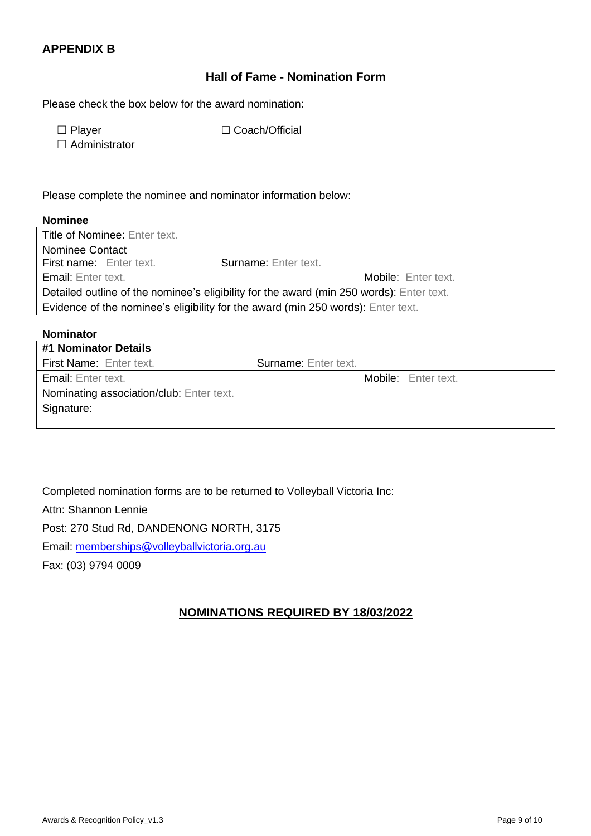# <span id="page-10-0"></span>**APPENDIX B**

#### **Hall of Fame - Nomination Form**

Please check the box below for the award nomination:

☐ Player ☐ Coach/Official

□ Administrator

Please complete the nominee and nominator information below:

#### **Nominee**

| <b>Title of Nominee: Enter text.</b>                                                     |                             |  |  |  |  |
|------------------------------------------------------------------------------------------|-----------------------------|--|--|--|--|
| Nominee Contact                                                                          |                             |  |  |  |  |
| <b>First name:</b> Enter text.                                                           | <b>Surname:</b> Enter text. |  |  |  |  |
| <b>Email:</b> Enter text.                                                                | Mobile: Enter text.         |  |  |  |  |
| Detailed outline of the nominee's eligibility for the award (min 250 words): Enter text. |                             |  |  |  |  |
| Evidence of the nominee's eligibility for the award (min 250 words): Enter text.         |                             |  |  |  |  |

# **Nominator #1 Nominator Details** First Name: Enter text. Surname: Enter text. Email: Enter text. **Exercise Email: Enter text.** Mobile: Enter text. Nominating association/club: Enter text. Signature:

Completed nomination forms are to be returned to Volleyball Victoria Inc:

Attn: Shannon Lennie

Post: 270 Stud Rd, DANDENONG NORTH, 3175

Email: memberships@volleyballvictoria.org.au

Fax: (03) 9794 0009

# **NOMINATIONS REQUIRED BY 18/03/2022**